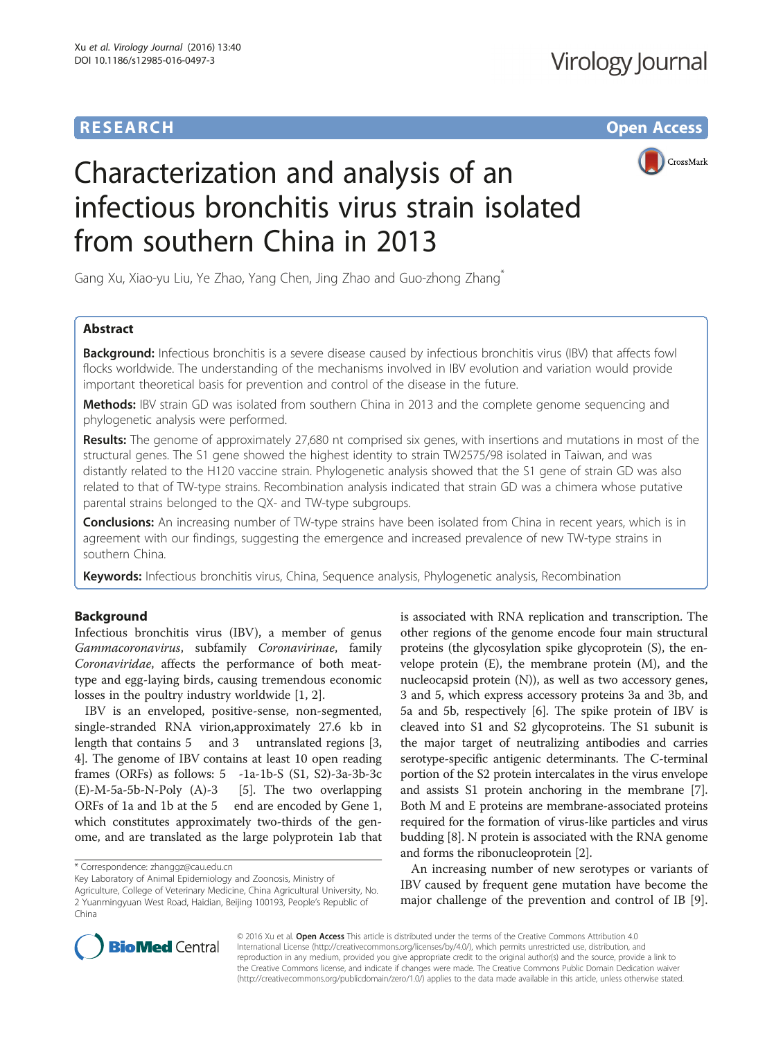# **RESEARCH CHE Open Access**



# Characterization and analysis of an infectious bronchitis virus strain isolated from southern China in 2013

Gang Xu, Xiao-yu Liu, Ye Zhao, Yang Chen, Jing Zhao and Guo-zhong Zhang\*

## Abstract

**Background:** Infectious bronchitis is a severe disease caused by infectious bronchitis virus (IBV) that affects fowl flocks worldwide. The understanding of the mechanisms involved in IBV evolution and variation would provide important theoretical basis for prevention and control of the disease in the future.

Methods: IBV strain GD was isolated from southern China in 2013 and the complete genome sequencing and phylogenetic analysis were performed.

Results: The genome of approximately 27,680 nt comprised six genes, with insertions and mutations in most of the structural genes. The S1 gene showed the highest identity to strain TW2575/98 isolated in Taiwan, and was distantly related to the H120 vaccine strain. Phylogenetic analysis showed that the S1 gene of strain GD was also related to that of TW-type strains. Recombination analysis indicated that strain GD was a chimera whose putative parental strains belonged to the QX- and TW-type subgroups.

**Conclusions:** An increasing number of TW-type strains have been isolated from China in recent years, which is in agreement with our findings, suggesting the emergence and increased prevalence of new TW-type strains in southern China.

Keywords: Infectious bronchitis virus, China, Sequence analysis, Phylogenetic analysis, Recombination

## Background

Infectious bronchitis virus (IBV), a member of genus Gammacoronavirus, subfamily Coronavirinae, family Coronaviridae, affects the performance of both meattype and egg-laying birds, causing tremendous economic losses in the poultry industry worldwide [\[1](#page-7-0), [2](#page-7-0)].

IBV is an enveloped, positive-sense, non-segmented, single-stranded RNA virion,approximately 27.6 kb in length that contains 5 and 3 untranslated regions [[3](#page-7-0), [4\]](#page-7-0). The genome of IBV contains at least 10 open reading frames (ORFs) as follows: 5 -1a-1b-S (S1, S2)-3a-3b-3c  $(E)$ -M-[5](#page-7-0)a-5b-N-Poly  $(A)$ -3 [5]. The two overlapping ORFs of 1a and 1b at the 5 end are encoded by Gene 1, which constitutes approximately two-thirds of the genome, and are translated as the large polyprotein 1ab that

is associated with RNA replication and transcription. The other regions of the genome encode four main structural proteins (the glycosylation spike glycoprotein (S), the envelope protein (E), the membrane protein (M), and the nucleocapsid protein (N)), as well as two accessory genes, 3 and 5, which express accessory proteins 3a and 3b, and 5a and 5b, respectively [[6](#page-7-0)]. The spike protein of IBV is cleaved into S1 and S2 glycoproteins. The S1 subunit is the major target of neutralizing antibodies and carries serotype-specific antigenic determinants. The C-terminal portion of the S2 protein intercalates in the virus envelope and assists S1 protein anchoring in the membrane [[7](#page-7-0)]. Both M and E proteins are membrane-associated proteins required for the formation of virus-like particles and virus budding [\[8](#page-7-0)]. N protein is associated with the RNA genome and forms the ribonucleoprotein [[2](#page-7-0)].

An increasing number of new serotypes or variants of IBV caused by frequent gene mutation have become the major challenge of the prevention and control of IB [\[9](#page-7-0)].



© 2016 Xu et al. Open Access This article is distributed under the terms of the Creative Commons Attribution 4.0 International License [\(http://creativecommons.org/licenses/by/4.0/](http://creativecommons.org/licenses/by/4.0/)), which permits unrestricted use, distribution, and reproduction in any medium, provided you give appropriate credit to the original author(s) and the source, provide a link to the Creative Commons license, and indicate if changes were made. The Creative Commons Public Domain Dedication waiver [\(http://creativecommons.org/publicdomain/zero/1.0/](http://creativecommons.org/publicdomain/zero/1.0/)) applies to the data made available in this article, unless otherwise stated.

<sup>\*</sup> Correspondence: [zhanggz@cau.edu.cn](mailto:zhanggz@cau.edu.cn)

Key Laboratory of Animal Epidemiology and Zoonosis, Ministry of Agriculture, College of Veterinary Medicine, China Agricultural University, No. 2 Yuanmingyuan West Road, Haidian, Beijing 100193, People's Republic of China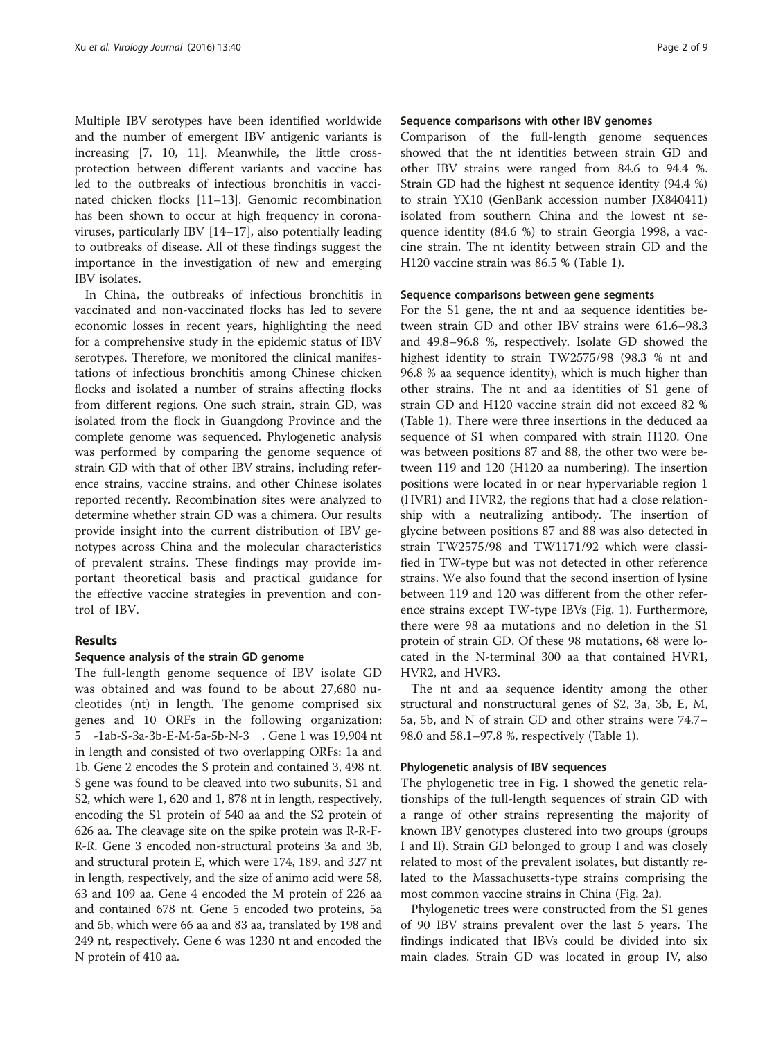Multiple IBV serotypes have been identified worldwide and the number of emergent IBV antigenic variants is increasing [[7, 10](#page-7-0), [11](#page-7-0)]. Meanwhile, the little crossprotection between different variants and vaccine has led to the outbreaks of infectious bronchitis in vaccinated chicken flocks [[11](#page-7-0)–[13](#page-7-0)]. Genomic recombination has been shown to occur at high frequency in coronaviruses, particularly IBV [\[14](#page-7-0)–[17\]](#page-7-0), also potentially leading to outbreaks of disease. All of these findings suggest the importance in the investigation of new and emerging IBV isolates.

In China, the outbreaks of infectious bronchitis in vaccinated and non-vaccinated flocks has led to severe economic losses in recent years, highlighting the need for a comprehensive study in the epidemic status of IBV serotypes. Therefore, we monitored the clinical manifestations of infectious bronchitis among Chinese chicken flocks and isolated a number of strains affecting flocks from different regions. One such strain, strain GD, was isolated from the flock in Guangdong Province and the complete genome was sequenced. Phylogenetic analysis was performed by comparing the genome sequence of strain GD with that of other IBV strains, including reference strains, vaccine strains, and other Chinese isolates reported recently. Recombination sites were analyzed to determine whether strain GD was a chimera. Our results provide insight into the current distribution of IBV genotypes across China and the molecular characteristics of prevalent strains. These findings may provide important theoretical basis and practical guidance for the effective vaccine strategies in prevention and control of IBV.

#### Results

#### Sequence analysis of the strain GD genome

The full-length genome sequence of IBV isolate GD was obtained and was found to be about 27,680 nucleotides (nt) in length. The genome comprised six genes and 10 ORFs in the following organization: 5 -1ab-S-3a-3b-E-M-5a-5b-N-3 . Gene 1 was 19,904 nt in length and consisted of two overlapping ORFs: 1a and 1b. Gene 2 encodes the S protein and contained 3, 498 nt. S gene was found to be cleaved into two subunits, S1 and S2, which were 1, 620 and 1, 878 nt in length, respectively, encoding the S1 protein of 540 aa and the S2 protein of 626 aa. The cleavage site on the spike protein was R-R-F-R-R. Gene 3 encoded non-structural proteins 3a and 3b, and structural protein E, which were 174, 189, and 327 nt in length, respectively, and the size of animo acid were 58, 63 and 109 aa. Gene 4 encoded the M protein of 226 aa and contained 678 nt. Gene 5 encoded two proteins, 5a and 5b, which were 66 aa and 83 aa, translated by 198 and 249 nt, respectively. Gene 6 was 1230 nt and encoded the N protein of 410 aa.

#### Sequence comparisons with other IBV genomes

Comparison of the full-length genome sequences showed that the nt identities between strain GD and other IBV strains were ranged from 84.6 to 94.4 %. Strain GD had the highest nt sequence identity (94.4 %) to strain YX10 (GenBank accession number JX840411) isolated from southern China and the lowest nt sequence identity (84.6 %) to strain Georgia 1998, a vaccine strain. The nt identity between strain GD and the H120 vaccine strain was 86.5 % (Table [1\)](#page-2-0).

#### Sequence comparisons between gene segments

For the S1 gene, the nt and aa sequence identities between strain GD and other IBV strains were 61.6–98.3 and 49.8–96.8 %, respectively. Isolate GD showed the highest identity to strain TW2575/98 (98.3 % nt and 96.8 % aa sequence identity), which is much higher than other strains. The nt and aa identities of S1 gene of strain GD and H120 vaccine strain did not exceed 82 % (Table [1](#page-2-0)). There were three insertions in the deduced aa sequence of S1 when compared with strain H120. One was between positions 87 and 88, the other two were between 119 and 120 (H120 aa numbering). The insertion positions were located in or near hypervariable region 1 (HVR1) and HVR2, the regions that had a close relationship with a neutralizing antibody. The insertion of glycine between positions 87 and 88 was also detected in strain TW2575/98 and TW1171/92 which were classified in TW-type but was not detected in other reference strains. We also found that the second insertion of lysine between 119 and 120 was different from the other reference strains except TW-type IBVs (Fig. [1\)](#page-3-0). Furthermore, there were 98 aa mutations and no deletion in the S1 protein of strain GD. Of these 98 mutations, 68 were located in the N-terminal 300 aa that contained HVR1, HVR2, and HVR3.

The nt and aa sequence identity among the other structural and nonstructural genes of S2, 3a, 3b, E, M, 5a, 5b, and N of strain GD and other strains were 74.7– 98.0 and 58.1–97.8 %, respectively (Table [1\)](#page-2-0).

#### Phylogenetic analysis of IBV sequences

The phylogenetic tree in Fig. [1](#page-3-0) showed the genetic relationships of the full-length sequences of strain GD with a range of other strains representing the majority of known IBV genotypes clustered into two groups (groups I and II). Strain GD belonged to group I and was closely related to most of the prevalent isolates, but distantly related to the Massachusetts-type strains comprising the most common vaccine strains in China (Fig. [2a](#page-4-0)).

Phylogenetic trees were constructed from the S1 genes of 90 IBV strains prevalent over the last 5 years. The findings indicated that IBVs could be divided into six main clades. Strain GD was located in group IV, also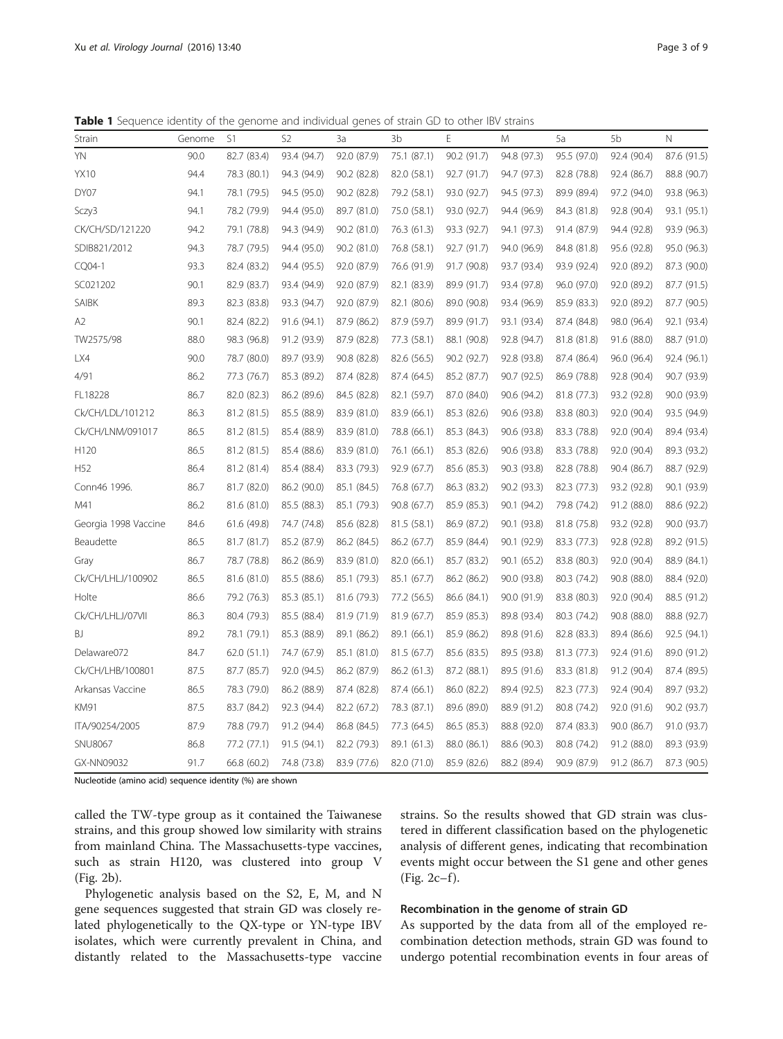<span id="page-2-0"></span>Table 1 Sequence identity of the genome and individual genes of strain GD to other IBV strains

| Strain               | Genome | S1          | S <sub>2</sub> | 3a          | 3b          | Ε           | M           | 5a          | 5b          | N           |
|----------------------|--------|-------------|----------------|-------------|-------------|-------------|-------------|-------------|-------------|-------------|
| YN                   | 90.0   | 82.7 (83.4) | 93.4 (94.7)    | 92.0 (87.9) | 75.1 (87.1) | 90.2 (91.7) | 94.8 (97.3) | 95.5 (97.0) | 92.4 (90.4) | 87.6 (91.5) |
| <b>YX10</b>          | 94.4   | 78.3 (80.1) | 94.3 (94.9)    | 90.2 (82.8) | 82.0 (58.1) | 92.7 (91.7) | 94.7 (97.3) | 82.8 (78.8) | 92.4 (86.7) | 88.8 (90.7) |
| DY07                 | 94.1   | 78.1 (79.5) | 94.5 (95.0)    | 90.2 (82.8) | 79.2 (58.1) | 93.0 (92.7) | 94.5 (97.3) | 89.9 (89.4) | 97.2 (94.0) | 93.8 (96.3) |
| Sczy3                | 94.1   | 78.2 (79.9) | 94.4 (95.0)    | 89.7 (81.0) | 75.0 (58.1) | 93.0 (92.7) | 94.4 (96.9) | 84.3 (81.8) | 92.8 (90.4) | 93.1 (95.1) |
| CK/CH/SD/121220      | 94.2   | 79.1 (78.8) | 94.3 (94.9)    | 90.2 (81.0) | 76.3 (61.3) | 93.3 (92.7) | 94.1 (97.3) | 91.4 (87.9) | 94.4 (92.8) | 93.9 (96.3) |
| SDIB821/2012         | 94.3   | 78.7 (79.5) | 94.4 (95.0)    | 90.2 (81.0) | 76.8 (58.1) | 92.7 (91.7) | 94.0 (96.9) | 84.8 (81.8) | 95.6 (92.8) | 95.0 (96.3) |
| CQ04-1               | 93.3   | 82.4 (83.2) | 94.4 (95.5)    | 92.0 (87.9) | 76.6 (91.9) | 91.7 (90.8) | 93.7 (93.4) | 93.9 (92.4) | 92.0 (89.2) | 87.3 (90.0) |
| SC021202             | 90.1   | 82.9 (83.7) | 93.4 (94.9)    | 92.0 (87.9) | 82.1 (83.9) | 89.9 (91.7) | 93.4 (97.8) | 96.0 (97.0) | 92.0 (89.2) | 87.7 (91.5) |
| SAIBK                | 89.3   | 82.3 (83.8) | 93.3 (94.7)    | 92.0 (87.9) | 82.1 (80.6) | 89.0 (90.8) | 93.4 (96.9) | 85.9 (83.3) | 92.0 (89.2) | 87.7 (90.5) |
| A <sub>2</sub>       | 90.1   | 82.4 (82.2) | 91.6 (94.1)    | 87.9 (86.2) | 87.9 (59.7) | 89.9 (91.7) | 93.1 (93.4) | 87.4 (84.8) | 98.0 (96.4) | 92.1 (93.4) |
| TW2575/98            | 88.0   | 98.3 (96.8) | 91.2 (93.9)    | 87.9 (82.8) | 77.3 (58.1) | 88.1 (90.8) | 92.8 (94.7) | 81.8 (81.8) | 91.6 (88.0) | 88.7 (91.0) |
| LX4                  | 90.0   | 78.7 (80.0) | 89.7 (93.9)    | 90.8 (82.8) | 82.6 (56.5) | 90.2 (92.7) | 92.8 (93.8) | 87.4 (86.4) | 96.0 (96.4) | 92.4 (96.1) |
| 4/91                 | 86.2   | 77.3 (76.7) | 85.3 (89.2)    | 87.4 (82.8) | 87.4 (64.5) | 85.2 (87.7) | 90.7 (92.5) | 86.9 (78.8) | 92.8 (90.4) | 90.7 (93.9) |
| FL18228              | 86.7   | 82.0 (82.3) | 86.2 (89.6)    | 84.5 (82.8) | 82.1 (59.7) | 87.0 (84.0) | 90.6 (94.2) | 81.8 (77.3) | 93.2 (92.8) | 90.0 (93.9) |
| Ck/CH/LDL/101212     | 86.3   | 81.2 (81.5) | 85.5 (88.9)    | 83.9 (81.0) | 83.9 (66.1) | 85.3 (82.6) | 90.6 (93.8) | 83.8 (80.3) | 92.0 (90.4) | 93.5 (94.9) |
| Ck/CH/LNM/091017     | 86.5   | 81.2 (81.5) | 85.4 (88.9)    | 83.9 (81.0) | 78.8 (66.1) | 85.3 (84.3) | 90.6 (93.8) | 83.3 (78.8) | 92.0 (90.4) | 89.4 (93.4) |
| H120                 | 86.5   | 81.2 (81.5) | 85.4 (88.6)    | 83.9 (81.0) | 76.1 (66.1) | 85.3 (82.6) | 90.6 (93.8) | 83.3 (78.8) | 92.0 (90.4) | 89.3 (93.2) |
| H52                  | 86.4   | 81.2 (81.4) | 85.4 (88.4)    | 83.3 (79.3) | 92.9 (67.7) | 85.6 (85.3) | 90.3 (93.8) | 82.8 (78.8) | 90.4 (86.7) | 88.7 (92.9) |
| Conn46 1996.         | 86.7   | 81.7 (82.0) | 86.2 (90.0)    | 85.1 (84.5) | 76.8 (67.7) | 86.3 (83.2) | 90.2 (93.3) | 82.3 (77.3) | 93.2 (92.8) | 90.1 (93.9) |
| M41                  | 86.2   | 81.6 (81.0) | 85.5 (88.3)    | 85.1 (79.3) | 90.8 (67.7) | 85.9 (85.3) | 90.1 (94.2) | 79.8 (74.2) | 91.2 (88.0) | 88.6 (92.2) |
| Georgia 1998 Vaccine | 84.6   | 61.6 (49.8) | 74.7 (74.8)    | 85.6 (82.8) | 81.5 (58.1) | 86.9 (87.2) | 90.1 (93.8) | 81.8 (75.8) | 93.2 (92.8) | 90.0 (93.7) |
| Beaudette            | 86.5   | 81.7 (81.7) | 85.2 (87.9)    | 86.2 (84.5) | 86.2 (67.7) | 85.9 (84.4) | 90.1 (92.9) | 83.3 (77.3) | 92.8 (92.8) | 89.2 (91.5) |
| Gray                 | 86.7   | 78.7 (78.8) | 86.2 (86.9)    | 83.9 (81.0) | 82.0 (66.1) | 85.7 (83.2) | 90.1(65.2)  | 83.8 (80.3) | 92.0 (90.4) | 88.9 (84.1) |
| Ck/CH/LHLJ/100902    | 86.5   | 81.6 (81.0) | 85.5 (88.6)    | 85.1 (79.3) | 85.1 (67.7) | 86.2 (86.2) | 90.0 (93.8) | 80.3 (74.2) | 90.8 (88.0) | 88.4 (92.0) |
| Holte                | 86.6   | 79.2 (76.3) | 85.3 (85.1)    | 81.6 (79.3) | 77.2 (56.5) | 86.6 (84.1) | 90.0 (91.9) | 83.8 (80.3) | 92.0 (90.4) | 88.5 (91.2) |
| Ck/CH/LHLJ/07VII     | 86.3   | 80.4 (79.3) | 85.5 (88.4)    | 81.9 (71.9) | 81.9 (67.7) | 85.9 (85.3) | 89.8 (93.4) | 80.3 (74.2) | 90.8 (88.0) | 88.8 (92.7) |
| <b>BJ</b>            | 89.2   | 78.1 (79.1) | 85.3 (88.9)    | 89.1 (86.2) | 89.1 (66.1) | 85.9 (86.2) | 89.8 (91.6) | 82.8 (83.3) | 89.4 (86.6) | 92.5 (94.1) |
| Delaware072          | 84.7   | 62.0(51.1)  | 74.7 (67.9)    | 85.1 (81.0) | 81.5 (67.7) | 85.6 (83.5) | 89.5 (93.8) | 81.3 (77.3) | 92.4 (91.6) | 89.0 (91.2) |
| Ck/CH/LHB/100801     | 87.5   | 87.7 (85.7) | 92.0 (94.5)    | 86.2 (87.9) | 86.2 (61.3) | 87.2 (88.1) | 89.5 (91.6) | 83.3 (81.8) | 91.2 (90.4) | 87.4 (89.5) |
| Arkansas Vaccine     | 86.5   | 78.3 (79.0) | 86.2 (88.9)    | 87.4 (82.8) | 87.4 (66.1) | 86.0 (82.2) | 89.4 (92.5) | 82.3 (77.3) | 92.4 (90.4) | 89.7 (93.2) |
| <b>KM91</b>          | 87.5   | 83.7 (84.2) | 92.3 (94.4)    | 82.2 (67.2) | 78.3 (87.1) | 89.6 (89.0) | 88.9 (91.2) | 80.8 (74.2) | 92.0 (91.6) | 90.2 (93.7) |
| ITA/90254/2005       | 87.9   | 78.8 (79.7) | 91.2 (94.4)    | 86.8 (84.5) | 77.3 (64.5) | 86.5 (85.3) | 88.8 (92.0) | 87.4 (83.3) | 90.0 (86.7) | 91.0 (93.7) |
| <b>SNU8067</b>       | 86.8   | 77.2 (77.1) | 91.5 (94.1)    | 82.2 (79.3) | 89.1 (61.3) | 88.0 (86.1) | 88.6 (90.3) | 80.8 (74.2) | 91.2 (88.0) | 89.3 (93.9) |
| GX-NN09032           | 91.7   | 66.8 (60.2) | 74.8 (73.8)    | 83.9 (77.6) | 82.0 (71.0) | 85.9 (82.6) | 88.2 (89.4) | 90.9 (87.9) | 91.2 (86.7) | 87.3 (90.5) |

Nucleotide (amino acid) sequence identity (%) are shown

called the TW-type group as it contained the Taiwanese strains, and this group showed low similarity with strains from mainland China. The Massachusetts-type vaccines, such as strain H120, was clustered into group V (Fig. [2b](#page-4-0)).

strains. So the results showed that GD strain was clustered in different classification based on the phylogenetic analysis of different genes, indicating that recombination events might occur between the S1 gene and other genes  $(Fig. 2c-f).$  $(Fig. 2c-f).$  $(Fig. 2c-f).$ 

Phylogenetic analysis based on the S2, E, M, and N gene sequences suggested that strain GD was closely related phylogenetically to the QX-type or YN-type IBV isolates, which were currently prevalent in China, and distantly related to the Massachusetts-type vaccine

## Recombination in the genome of strain GD

As supported by the data from all of the employed recombination detection methods, strain GD was found to undergo potential recombination events in four areas of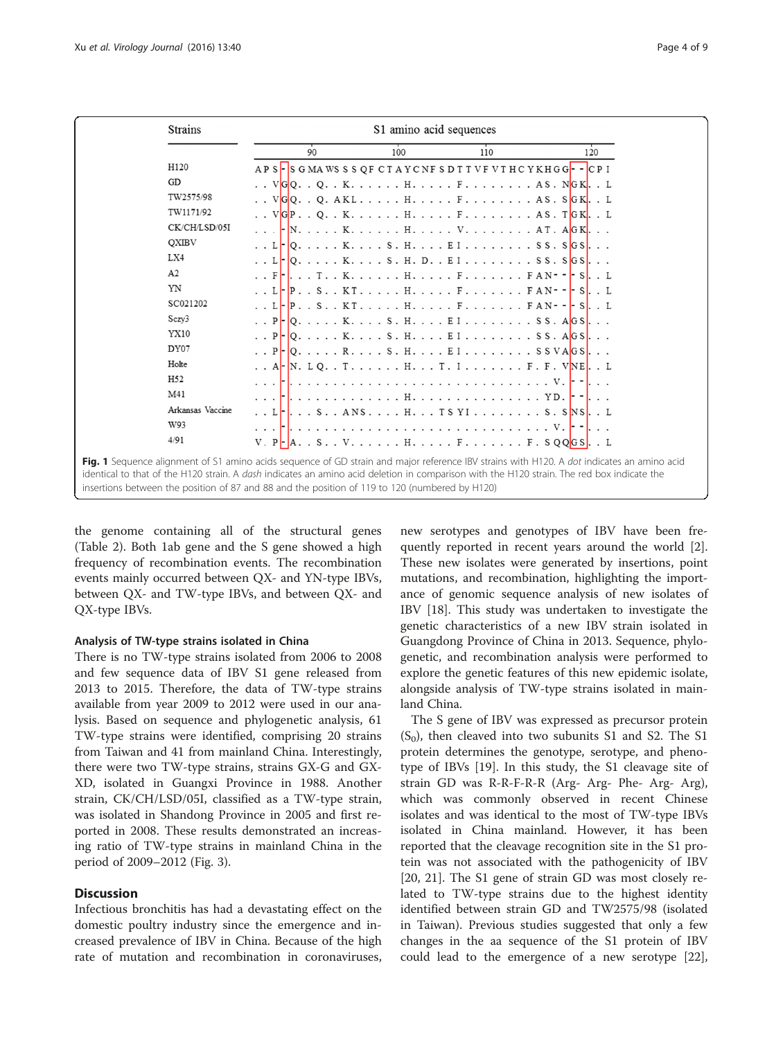<span id="page-3-0"></span>

| <b>Strains</b>                                                                                                                                                                                                                                                                                                                                                                                    | S1 amino acid sequences                                                                |     |     |     |  |
|---------------------------------------------------------------------------------------------------------------------------------------------------------------------------------------------------------------------------------------------------------------------------------------------------------------------------------------------------------------------------------------------------|----------------------------------------------------------------------------------------|-----|-----|-----|--|
|                                                                                                                                                                                                                                                                                                                                                                                                   | 90                                                                                     | 100 | 110 | 120 |  |
| H120                                                                                                                                                                                                                                                                                                                                                                                              | APS - SGMAWSSSQF CTAYCNFSDTTVFVTHCYKHGG - - CPI                                        |     |     |     |  |
| GD                                                                                                                                                                                                                                                                                                                                                                                                |                                                                                        |     |     |     |  |
| TW2575/98                                                                                                                                                                                                                                                                                                                                                                                         |                                                                                        |     |     |     |  |
| TW1171/92                                                                                                                                                                                                                                                                                                                                                                                         |                                                                                        |     |     |     |  |
| CK/CH/LSD/05I                                                                                                                                                                                                                                                                                                                                                                                     |                                                                                        |     |     |     |  |
| QXIBV                                                                                                                                                                                                                                                                                                                                                                                             | . . $L \cdot  Q_1, \ldots, K, \ldots, S, H, \ldots, E_1, \ldots, S, S, S, S, S, S, S,$ |     |     |     |  |
| LX4                                                                                                                                                                                                                                                                                                                                                                                               | . . L     Q. K. S. H. D. . E I SS. S   G S                                             |     |     |     |  |
| A2                                                                                                                                                                                                                                                                                                                                                                                                | . . F T. . K. H. F. FAN - - S. . L                                                     |     |     |     |  |
| YN                                                                                                                                                                                                                                                                                                                                                                                                | . . L P S KT H F F A N - - - S L                                                       |     |     |     |  |
| SC021202                                                                                                                                                                                                                                                                                                                                                                                          | . . L       P S KT H F F A N - -   - S L                                               |     |     |     |  |
| Sczy3                                                                                                                                                                                                                                                                                                                                                                                             | . . $P$   Q. K. S. H. E I SS. A GS.                                                    |     |     |     |  |
| YX10                                                                                                                                                                                                                                                                                                                                                                                              | . . P -   0. K. S . H. E I S S . A G S                                                 |     |     |     |  |
| DY07                                                                                                                                                                                                                                                                                                                                                                                              | P -   Q R S.H E I  S S VA   G S                                                        |     |     |     |  |
| Holte                                                                                                                                                                                                                                                                                                                                                                                             | A  -   N. LQ. . T H T . I F . F . V N E L                                              |     |     |     |  |
| H <sub>52</sub>                                                                                                                                                                                                                                                                                                                                                                                   |                                                                                        |     |     |     |  |
| M41                                                                                                                                                                                                                                                                                                                                                                                               |                                                                                        |     |     |     |  |
| Arkansas Vaccine                                                                                                                                                                                                                                                                                                                                                                                  | . . L ANS. H. TS YI S. S NS L                                                          |     |     |     |  |
| W93                                                                                                                                                                                                                                                                                                                                                                                               |                                                                                        |     |     |     |  |
| 4/91                                                                                                                                                                                                                                                                                                                                                                                              | V. $P - A$ . S. V. H. F. F. SQQGS. . L                                                 |     |     |     |  |
| Fig. 1 Sequence alignment of S1 amino acids sequence of GD strain and major reference IBV strains with H120. A dot indicates an amino acid<br>identical to that of the H120 strain. A <i>dash</i> indicates an amino acid deletion in comparison with the H120 strain. The red box indicate the<br>insertions between the position of 87 and 88 and the position of 119 to 120 (numbered by H120) |                                                                                        |     |     |     |  |

the genome containing all of the structural genes (Table [2\)](#page-4-0). Both 1ab gene and the S gene showed a high frequency of recombination events. The recombination events mainly occurred between QX- and YN-type IBVs, between QX- and TW-type IBVs, and between QX- and QX-type IBVs.

## Analysis of TW-type strains isolated in China

There is no TW-type strains isolated from 2006 to 2008 and few sequence data of IBV S1 gene released from 2013 to 2015. Therefore, the data of TW-type strains available from year 2009 to 2012 were used in our analysis. Based on sequence and phylogenetic analysis, 61 TW-type strains were identified, comprising 20 strains from Taiwan and 41 from mainland China. Interestingly, there were two TW-type strains, strains GX-G and GX-XD, isolated in Guangxi Province in 1988. Another strain, CK/CH/LSD/05I, classified as a TW-type strain, was isolated in Shandong Province in 2005 and first reported in 2008. These results demonstrated an increasing ratio of TW-type strains in mainland China in the period of 2009–2012 (Fig. [3](#page-5-0)).

## **Discussion**

Infectious bronchitis has had a devastating effect on the domestic poultry industry since the emergence and increased prevalence of IBV in China. Because of the high rate of mutation and recombination in coronaviruses,

new serotypes and genotypes of IBV have been frequently reported in recent years around the world [\[2](#page-7-0)]. These new isolates were generated by insertions, point mutations, and recombination, highlighting the importance of genomic sequence analysis of new isolates of IBV [\[18\]](#page-8-0). This study was undertaken to investigate the genetic characteristics of a new IBV strain isolated in Guangdong Province of China in 2013. Sequence, phylogenetic, and recombination analysis were performed to explore the genetic features of this new epidemic isolate, alongside analysis of TW-type strains isolated in mainland China.

The S gene of IBV was expressed as precursor protein  $(S<sub>0</sub>)$ , then cleaved into two subunits S1 and S2. The S1 protein determines the genotype, serotype, and phenotype of IBVs [\[19](#page-8-0)]. In this study, the S1 cleavage site of strain GD was R-R-F-R-R (Arg- Arg- Phe- Arg- Arg), which was commonly observed in recent Chinese isolates and was identical to the most of TW-type IBVs isolated in China mainland. However, it has been reported that the cleavage recognition site in the S1 protein was not associated with the pathogenicity of IBV [[20, 21](#page-8-0)]. The S1 gene of strain GD was most closely related to TW-type strains due to the highest identity identified between strain GD and TW2575/98 (isolated in Taiwan). Previous studies suggested that only a few changes in the aa sequence of the S1 protein of IBV could lead to the emergence of a new serotype [\[22](#page-8-0)],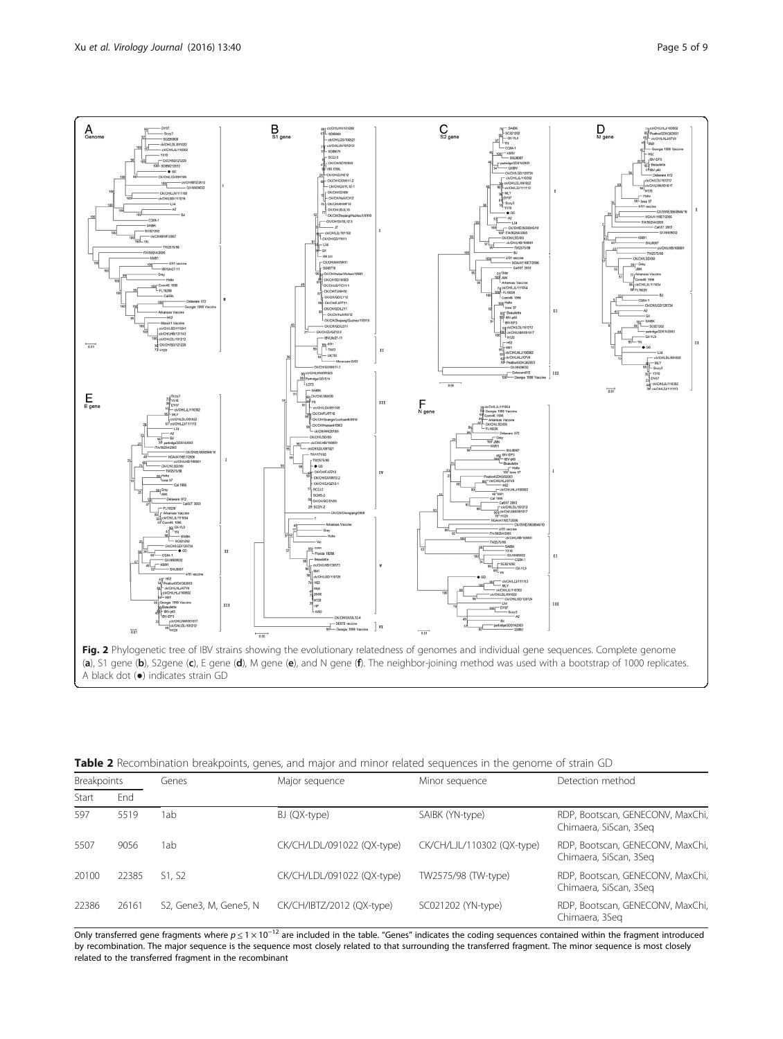<span id="page-4-0"></span>

|  |  |  | <b>Table 2</b> Recombination breakpoints, genes, and major and minor related sequences in the genome of strain GD |
|--|--|--|-------------------------------------------------------------------------------------------------------------------|
|  |  |  |                                                                                                                   |

| Breakpoints |       | Genes                  | Major sequence             | Minor sequence             | Detection method                                           |  |
|-------------|-------|------------------------|----------------------------|----------------------------|------------------------------------------------------------|--|
| Start       | End   |                        |                            |                            |                                                            |  |
| 597         | 5519  | lab                    | BJ (QX-type)               | SAIBK (YN-type)            | RDP, Bootscan, GENECONV, MaxChi,<br>Chimaera, SiScan, 3Seg |  |
| 5507        | 9056  | 1ab                    | CK/CH/LDL/091022 (QX-type) | CK/CH/LJL/110302 (QX-type) | RDP, Bootscan, GENECONV, MaxChi,<br>Chimaera, SiScan, 3Seg |  |
| 20100       | 22385 | S1. S2                 | CK/CH/LDL/091022 (QX-type) | TW2575/98 (TW-type)        | RDP, Bootscan, GENECONV, MaxChi,<br>Chimaera, SiScan, 3Seg |  |
| 22386       | 26161 | S2, Gene3, M, Gene5, N | CK/CH/IBTZ/2012 (QX-type)  | SC021202 (YN-type)         | RDP, Bootscan, GENECONV, MaxChi,<br>Chimaera, 3Seg         |  |

Only transferred gene fragments where  $p \le 1 \times 10^{-12}$  are included in the table. "Genes" indicates the coding sequences contained within the fragment introduced by recombination. The major sequence is the sequence most closely related to that surrounding the transferred fragment. The minor sequence is most closely related to the transferred fragment in the recombinant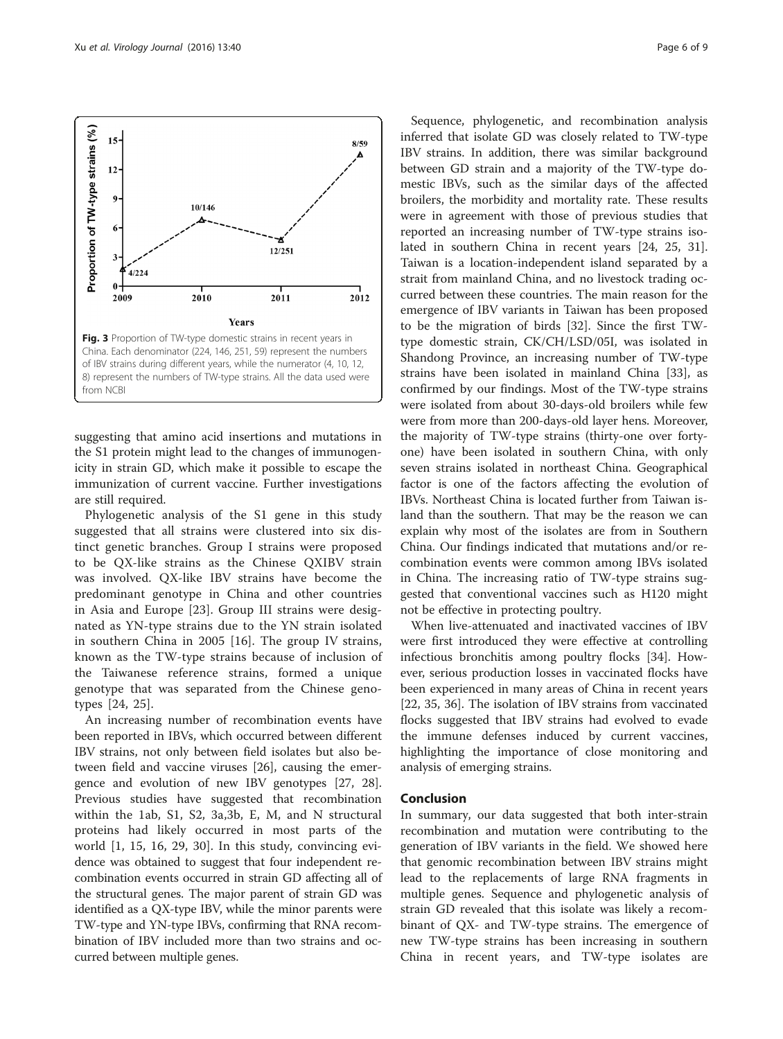

Phylogenetic analysis of the S1 gene in this study suggested that all strains were clustered into six distinct genetic branches. Group I strains were proposed to be QX-like strains as the Chinese QXIBV strain was involved. QX-like IBV strains have become the predominant genotype in China and other countries in Asia and Europe [[23\]](#page-8-0). Group III strains were designated as YN-type strains due to the YN strain isolated in southern China in 2005 [\[16](#page-7-0)]. The group IV strains, known as the TW-type strains because of inclusion of the Taiwanese reference strains, formed a unique genotype that was separated from the Chinese genotypes [\[24](#page-8-0), [25](#page-8-0)].

An increasing number of recombination events have been reported in IBVs, which occurred between different IBV strains, not only between field isolates but also between field and vaccine viruses [[26](#page-8-0)], causing the emergence and evolution of new IBV genotypes [[27](#page-8-0), [28](#page-8-0)]. Previous studies have suggested that recombination within the 1ab, S1, S2, 3a,3b, E, M, and N structural proteins had likely occurred in most parts of the world [[1, 15, 16,](#page-7-0) [29, 30\]](#page-8-0). In this study, convincing evidence was obtained to suggest that four independent recombination events occurred in strain GD affecting all of the structural genes. The major parent of strain GD was identified as a QX-type IBV, while the minor parents were TW-type and YN-type IBVs, confirming that RNA recombination of IBV included more than two strains and occurred between multiple genes.

Sequence, phylogenetic, and recombination analysis inferred that isolate GD was closely related to TW-type IBV strains. In addition, there was similar background between GD strain and a majority of the TW-type domestic IBVs, such as the similar days of the affected broilers, the morbidity and mortality rate. These results were in agreement with those of previous studies that reported an increasing number of TW-type strains isolated in southern China in recent years [[24](#page-8-0), [25, 31](#page-8-0)]. Taiwan is a location-independent island separated by a strait from mainland China, and no livestock trading occurred between these countries. The main reason for the emergence of IBV variants in Taiwan has been proposed to be the migration of birds [\[32](#page-8-0)]. Since the first TWtype domestic strain, CK/CH/LSD/05I, was isolated in Shandong Province, an increasing number of TW-type strains have been isolated in mainland China [\[33\]](#page-8-0), as confirmed by our findings. Most of the TW-type strains were isolated from about 30-days-old broilers while few were from more than 200-days-old layer hens. Moreover, the majority of TW-type strains (thirty-one over fortyone) have been isolated in southern China, with only seven strains isolated in northeast China. Geographical factor is one of the factors affecting the evolution of IBVs. Northeast China is located further from Taiwan island than the southern. That may be the reason we can explain why most of the isolates are from in Southern China. Our findings indicated that mutations and/or recombination events were common among IBVs isolated in China. The increasing ratio of TW-type strains suggested that conventional vaccines such as H120 might not be effective in protecting poultry.

When live-attenuated and inactivated vaccines of IBV were first introduced they were effective at controlling infectious bronchitis among poultry flocks [\[34](#page-8-0)]. However, serious production losses in vaccinated flocks have been experienced in many areas of China in recent years [[22, 35, 36\]](#page-8-0). The isolation of IBV strains from vaccinated flocks suggested that IBV strains had evolved to evade the immune defenses induced by current vaccines, highlighting the importance of close monitoring and analysis of emerging strains.

#### Conclusion

In summary, our data suggested that both inter-strain recombination and mutation were contributing to the generation of IBV variants in the field. We showed here that genomic recombination between IBV strains might lead to the replacements of large RNA fragments in multiple genes. Sequence and phylogenetic analysis of strain GD revealed that this isolate was likely a recombinant of QX- and TW-type strains. The emergence of new TW-type strains has been increasing in southern China in recent years, and TW-type isolates are

<span id="page-5-0"></span>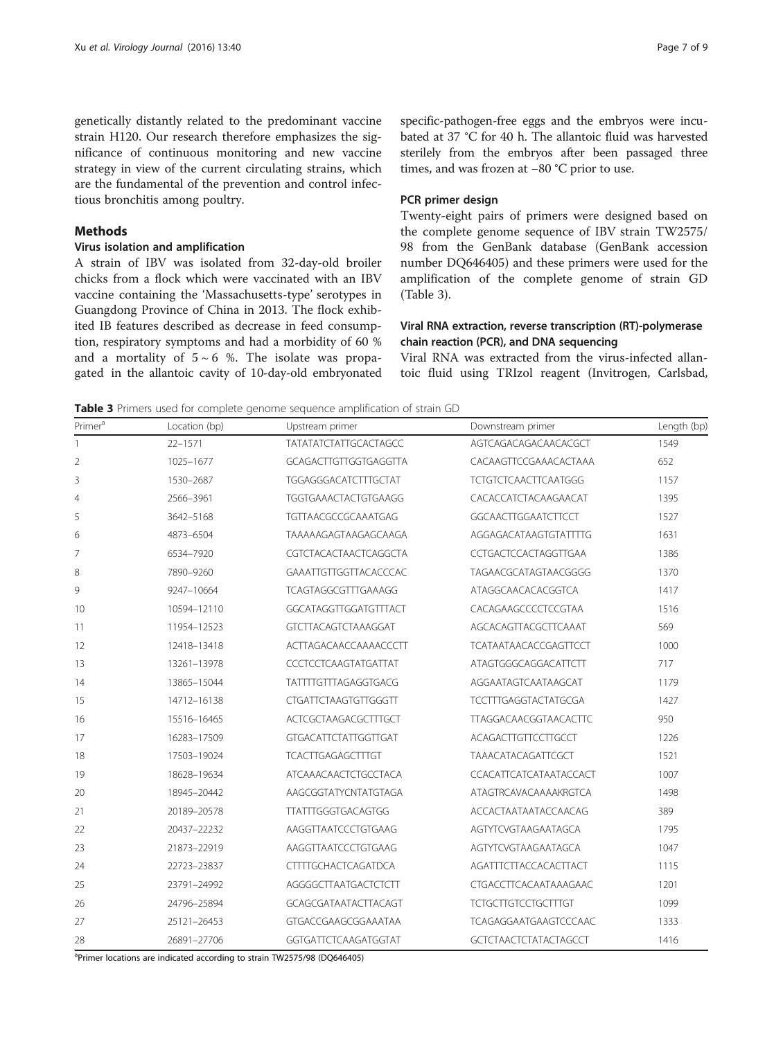genetically distantly related to the predominant vaccine strain H120. Our research therefore emphasizes the significance of continuous monitoring and new vaccine strategy in view of the current circulating strains, which are the fundamental of the prevention and control infectious bronchitis among poultry.

#### Methods

## Virus isolation and amplification

A strain of IBV was isolated from 32-day-old broiler chicks from a flock which were vaccinated with an IBV vaccine containing the 'Massachusetts-type' serotypes in Guangdong Province of China in 2013. The flock exhibited IB features described as decrease in feed consumption, respiratory symptoms and had a morbidity of 60 % and a mortality of  $5 \sim 6$  %. The isolate was propagated in the allantoic cavity of 10-day-old embryonated specific-pathogen-free eggs and the embryos were incubated at 37 °C for 40 h. The allantoic fluid was harvested sterilely from the embryos after been passaged three times, and was frozen at −80 °C prior to use.

#### PCR primer design

Twenty-eight pairs of primers were designed based on the complete genome sequence of IBV strain TW2575/ 98 from the GenBank database (GenBank accession number DQ646405) and these primers were used for the amplification of the complete genome of strain GD (Table 3).

### Viral RNA extraction, reverse transcription (RT)-polymerase chain reaction (PCR), and DNA sequencing

Viral RNA was extracted from the virus-infected allantoic fluid using TRIzol reagent (Invitrogen, Carlsbad,

Table 3 Primers used for complete genome sequence amplification of strain GD

| Primer <sup>a</sup> | Location (bp) | Upstream primer              | Downstream primer            | Length (bp) |
|---------------------|---------------|------------------------------|------------------------------|-------------|
| 1                   | $22 - 1571$   | <b>TATATATCTATTGCACTAGCC</b> | AGTCAGACAGACAACACGCT         | 1549        |
| $\overline{2}$      | 1025-1677     | <b>GCAGACTTGTTGGTGAGGTTA</b> | CACAAGTTCCGAAACACTAAA        | 652         |
| 3                   | 1530-2687     | TGGAGGGACATCTTTGCTAT         | <b>TCTGTCTCAACTTCAATGGG</b>  | 1157        |
| $\overline{4}$      | 2566-3961     | TGGTGAAACTACTGTGAAGG         | CACACCATCTACAAGAACAT         | 1395        |
| 5                   | 3642-5168     | TGTTAACGCCGCAAATGAG          | <b>GGCAACTTGGAATCTTCCT</b>   | 1527        |
| 6                   | 4873-6504     | TAAAAAGAGTAAGAGCAAGA         | AGGAGACATAAGTGTATTTTG        | 1631        |
| 7                   | 6534-7920     | CGTCTACACTAACTCAGGCTA        | CCTGACTCCACTAGGTTGAA         | 1386        |
| 8                   | 7890-9260     | GAAATTGTTGGTTACACCCAC        | TAGAACGCATAGTAACGGGG         | 1370        |
| 9                   | 9247-10664    | TCAGTAGGCGTTTGAAAGG          | ATAGGCAACACACGGTCA           | 1417        |
| 10                  | 10594-12110   | GGCATAGGTTGGATGTTTACT        | CACAGAAGCCCCCTCCGTAA         | 1516        |
| 11                  | 11954-12523   | <b>GTCTTACAGTCTAAAGGAT</b>   | AGCACAGTTACGCTTCAAAT         | 569         |
| 12                  | 12418-13418   | ACTTAGACAACCAAAACCCTT        | <b>TCATAATAACACCGAGTTCCT</b> | 1000        |
| 13                  | 13261-13978   | CCCTCCTCAAGTATGATTAT         | ATAGTGGGCAGGACATTCTT         | 717         |
| 14                  | 13865-15044   | TATTTTGTTTAGAGGTGACG         | AGGAATAGTCAATAAGCAT          | 1179        |
| 15                  | 14712-16138   | CTGATTCTAAGTGTTGGGTT         | <b>TCCTTTGAGGTACTATGCGA</b>  | 1427        |
| 16                  | 15516-16465   | ACTCGCTAAGACGCTTTGCT         | <b>TTAGGACAACGGTAACACTTC</b> | 950         |
| 17                  | 16283-17509   | <b>GTGACATTCTATTGGTTGAT</b>  | <b>ACAGACTTGTTCCTTGCCT</b>   | 1226        |
| 18                  | 17503-19024   | <b>TCACTTGAGAGCTTTGT</b>     | <b>TAAACATACAGATTCGCT</b>    | 1521        |
| 19                  | 18628-19634   | <b>ATCAAACAACTCTGCCTACA</b>  | CCACATTCATCATAATACCACT       | 1007        |
| 20                  | 18945-20442   | AAGCGGTATYCNTATGTAGA         | ATAGTRCAVACAAAAKRGTCA        | 1498        |
| 21                  | 20189-20578   | <b>TTATTTGGGTGACAGTGG</b>    | ACCACTAATAATACCAACAG         | 389         |
| 22                  | 20437-22232   | AAGGTTAATCCCTGTGAAG          | AGTYTCVGTAAGAATAGCA          | 1795        |
| 23                  | 21873-22919   | AAGGTTAATCCCTGTGAAG          | AGTYTCVGTAAGAATAGCA          | 1047        |
| 24                  | 22723-23837   | <b>CTTTTGCHACTCAGATDCA</b>   | <b>AGATTTCTTACCACACTTACT</b> | 1115        |
| 25                  | 23791-24992   | AGGGGCTTAATGACTCTCTT         | CTGACCTTCACAATAAAGAAC        | 1201        |
| 26                  | 24796-25894   | GCAGCGATAATACTTACAGT         | <b>TCTGCTTGTCCTGCTTTGT</b>   | 1099        |
| 27                  | 25121-26453   | GTGACCGAAGCGGAAATAA          | <b>TCAGAGGAATGAAGTCCCAAC</b> | 1333        |
| 28                  | 26891-27706   | GGTGATTCTCAAGATGGTAT         | <b>GCTCTAACTCTATACTAGCCT</b> | 1416        |

<sup>a</sup>Primer locations are indicated according to strain TW2575/98 (DQ646405)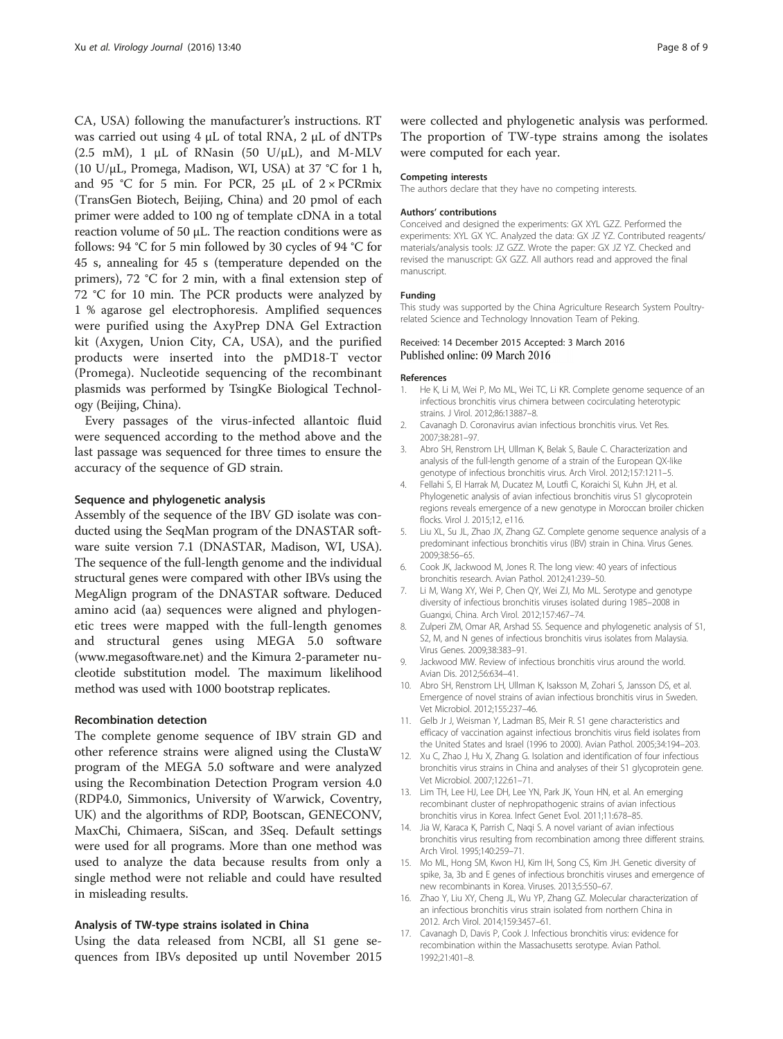<span id="page-7-0"></span>CA, USA) following the manufacturer's instructions. RT was carried out using 4 μL of total RNA, 2 μL of dNTPs (2.5 mM), 1  $\mu$ L of RNasin (50 U/ $\mu$ L), and M-MLV (10 U/μL, Promega, Madison, WI, USA) at 37 °C for 1 h, and 95 °C for 5 min. For PCR, 25  $\mu$ L of 2 × PCRmix (TransGen Biotech, Beijing, China) and 20 pmol of each primer were added to 100 ng of template cDNA in a total reaction volume of 50 μL. The reaction conditions were as follows: 94 °C for 5 min followed by 30 cycles of 94 °C for 45 s, annealing for 45 s (temperature depended on the primers), 72 °C for 2 min, with a final extension step of 72 °C for 10 min. The PCR products were analyzed by 1 % agarose gel electrophoresis. Amplified sequences were purified using the AxyPrep DNA Gel Extraction kit (Axygen, Union City, CA, USA), and the purified products were inserted into the pMD18-T vector (Promega). Nucleotide sequencing of the recombinant plasmids was performed by TsingKe Biological Technology (Beijing, China).

Every passages of the virus-infected allantoic fluid were sequenced according to the method above and the last passage was sequenced for three times to ensure the accuracy of the sequence of GD strain.

#### Sequence and phylogenetic analysis

Assembly of the sequence of the IBV GD isolate was conducted using the SeqMan program of the DNASTAR software suite version 7.1 (DNASTAR, Madison, WI, USA). The sequence of the full-length genome and the individual structural genes were compared with other IBVs using the MegAlign program of the DNASTAR software. Deduced amino acid (aa) sequences were aligned and phylogenetic trees were mapped with the full-length genomes and structural genes using MEGA 5.0 software ([www.megasoftware.net\)](http://www.megasoftware.net) and the Kimura 2-parameter nucleotide substitution model. The maximum likelihood method was used with 1000 bootstrap replicates.

#### Recombination detection

The complete genome sequence of IBV strain GD and other reference strains were aligned using the ClustaW program of the MEGA 5.0 software and were analyzed using the Recombination Detection Program version 4.0 (RDP4.0, Simmonics, University of Warwick, Coventry, UK) and the algorithms of RDP, Bootscan, GENECONV, MaxChi, Chimaera, SiScan, and 3Seq. Default settings were used for all programs. More than one method was used to analyze the data because results from only a single method were not reliable and could have resulted in misleading results.

#### Analysis of TW-type strains isolated in China

Using the data released from NCBI, all S1 gene sequences from IBVs deposited up until November 2015 were collected and phylogenetic analysis was performed. The proportion of TW-type strains among the isolates were computed for each year.

#### Competing interests

The authors declare that they have no competing interests.

#### Authors' contributions

Conceived and designed the experiments: GX XYL GZZ. Performed the experiments: XYL GX YC. Analyzed the data: GX JZ YZ. Contributed reagents/ materials/analysis tools: JZ GZZ. Wrote the paper: GX JZ YZ. Checked and revised the manuscript: GX GZZ. All authors read and approved the final manuscript.

#### Funding

This study was supported by the China Agriculture Research System Poultryrelated Science and Technology Innovation Team of Peking.

#### Received: 14 December 2015 Accepted: 3 March 2016 Published online: 09 March 2016

#### References

- 1. He K, Li M, Wei P, Mo ML, Wei TC, Li KR. Complete genome sequence of an infectious bronchitis virus chimera between cocirculating heterotypic strains. J Virol. 2012;86:13887–8.
- 2. Cavanagh D. Coronavirus avian infectious bronchitis virus. Vet Res. 2007;38:281–97.
- 3. Abro SH, Renstrom LH, Ullman K, Belak S, Baule C. Characterization and analysis of the full-length genome of a strain of the European QX-like genotype of infectious bronchitis virus. Arch Virol. 2012;157:1211–5.
- 4. Fellahi S, El Harrak M, Ducatez M, Loutfi C, Koraichi SI, Kuhn JH, et al. Phylogenetic analysis of avian infectious bronchitis virus S1 glycoprotein regions reveals emergence of a new genotype in Moroccan broiler chicken flocks. Virol J. 2015;12, e116.
- 5. Liu XL, Su JL, Zhao JX, Zhang GZ. Complete genome sequence analysis of a predominant infectious bronchitis virus (IBV) strain in China. Virus Genes. 2009;38:56–65.
- 6. Cook JK, Jackwood M, Jones R. The long view: 40 years of infectious bronchitis research. Avian Pathol. 2012;41:239–50.
- 7. Li M, Wang XY, Wei P, Chen QY, Wei ZJ, Mo ML. Serotype and genotype diversity of infectious bronchitis viruses isolated during 1985–2008 in Guangxi, China. Arch Virol. 2012;157:467–74.
- 8. Zulperi ZM, Omar AR, Arshad SS. Sequence and phylogenetic analysis of S1, S2, M, and N genes of infectious bronchitis virus isolates from Malaysia. Virus Genes. 2009;38:383–91.
- 9. Jackwood MW. Review of infectious bronchitis virus around the world. Avian Dis. 2012;56:634–41.
- 10. Abro SH, Renstrom LH, Ullman K, Isaksson M, Zohari S, Jansson DS, et al. Emergence of novel strains of avian infectious bronchitis virus in Sweden. Vet Microbiol. 2012;155:237–46.
- 11. Gelb Jr J, Weisman Y, Ladman BS, Meir R. S1 gene characteristics and efficacy of vaccination against infectious bronchitis virus field isolates from the United States and Israel (1996 to 2000). Avian Pathol. 2005;34:194–203.
- 12. Xu C, Zhao J, Hu X, Zhang G. Isolation and identification of four infectious bronchitis virus strains in China and analyses of their S1 glycoprotein gene. Vet Microbiol. 2007;122:61–71.
- 13. Lim TH, Lee HJ, Lee DH, Lee YN, Park JK, Youn HN, et al. An emerging recombinant cluster of nephropathogenic strains of avian infectious bronchitis virus in Korea. Infect Genet Evol. 2011;11:678–85.
- 14. Jia W, Karaca K, Parrish C, Naqi S. A novel variant of avian infectious bronchitis virus resulting from recombination among three different strains. Arch Virol. 1995;140:259–71.
- 15. Mo ML, Hong SM, Kwon HJ, Kim IH, Song CS, Kim JH. Genetic diversity of spike, 3a, 3b and E genes of infectious bronchitis viruses and emergence of new recombinants in Korea. Viruses. 2013;5:550–67.
- 16. Zhao Y, Liu XY, Cheng JL, Wu YP, Zhang GZ. Molecular characterization of an infectious bronchitis virus strain isolated from northern China in 2012. Arch Virol. 2014;159:3457–61.
- 17. Cavanagh D, Davis P, Cook J. Infectious bronchitis virus: evidence for recombination within the Massachusetts serotype. Avian Pathol. 1992;21:401–8.